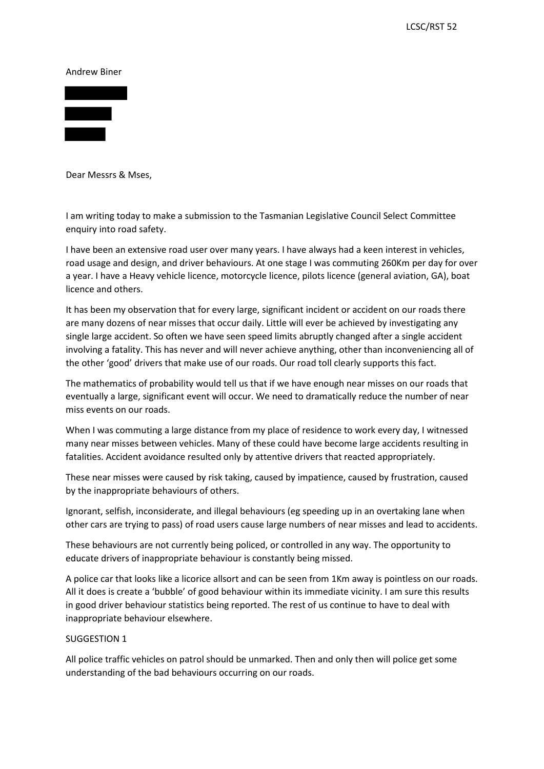Andrew Biner



Dear Messrs & Mses,

 I am writing today to make a submission to the Tasmanian Legislative Council Select Committee enquiry into road safety.

 I have been an extensive road user over many years. I have always had a keen interest in vehicles, road usage and design, and driver behaviours. At one stage I was commuting 260Km per day for over a year. I have a Heavy vehicle licence, motorcycle licence, pilots licence (general aviation, GA), boat licence and others.

 are many dozens of near misses that occur daily. Little will ever be achieved by investigating any It has been my observation that for every large, significant incident or accident on our roads there single large accident. So often we have seen speed limits abruptly changed after a single accident involving a fatality. This has never and will never achieve anything, other than inconveniencing all of the other 'good' drivers that make use of our roads. Our road toll clearly supports this fact.

The mathematics of probability would tell us that if we have enough near misses on our roads that eventually a large, significant event will occur. We need to dramatically reduce the number of near miss events on our roads.

 many near misses between vehicles. Many of these could have become large accidents resulting in When I was commuting a large distance from my place of residence to work every day, I witnessed fatalities. Accident avoidance resulted only by attentive drivers that reacted appropriately.

 by the inappropriate behaviours of others. These near misses were caused by risk taking, caused by impatience, caused by frustration, caused

 Ignorant, selfish, inconsiderate, and illegal behaviours (eg speeding up in an overtaking lane when other cars are trying to pass) of road users cause large numbers of near misses and lead to accidents.

 These behaviours are not currently being policed, or controlled in any way. The opportunity to educate drivers of inappropriate behaviour is constantly being missed.

 in good driver behaviour statistics being reported. The rest of us continue to have to deal with inappropriate behaviour elsewhere. A police car that looks like a licorice allsort and can be seen from 1Km away is pointless on our roads. All it does is create a 'bubble' of good behaviour within its immediate vicinity. I am sure this results

## SUGGESTION 1

 understanding of the bad behaviours occurring on our roads. All police traffic vehicles on patrol should be unmarked. Then and only then will police get some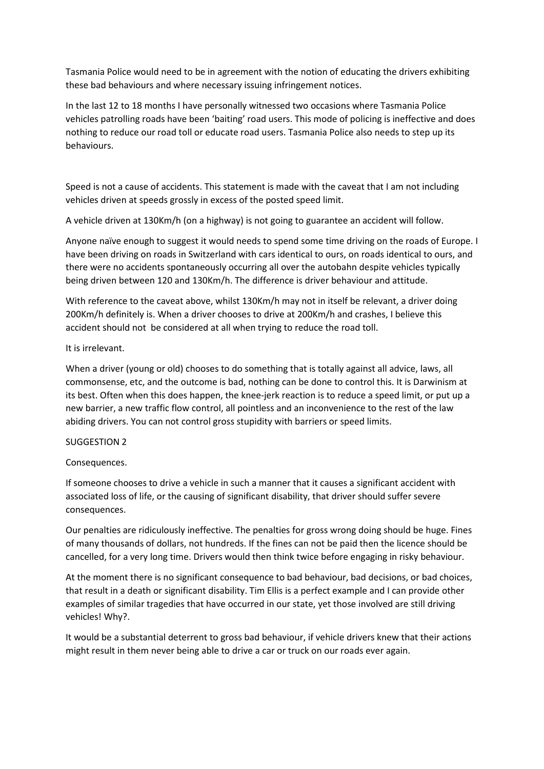Tasmania Police would need to be in agreement with the notion of educating the drivers exhibiting these bad behaviours and where necessary issuing infringement notices.

 In the last 12 to 18 months I have personally witnessed two occasions where Tasmania Police nothing to reduce our road toll or educate road users. Tasmania Police also needs to step up its vehicles patrolling roads have been 'baiting' road users. This mode of policing is ineffective and does behaviours.

 Speed is not a cause of accidents. This statement is made with the caveat that I am not including vehicles driven at speeds grossly in excess of the posted speed limit.

A vehicle driven at 130Km/h (on a highway) is not going to guarantee an accident will follow.

 Anyone naïve enough to suggest it would needs to spend some time driving on the roads of Europe. I have been driving on roads in Switzerland with cars identical to ours, on roads identical to ours, and there were no accidents spontaneously occurring all over the autobahn despite vehicles typically being driven between 120 and 130Km/h. The difference is driver behaviour and attitude.

 200Km/h definitely is. When a driver chooses to drive at 200Km/h and crashes, I believe this accident should not be considered at all when trying to reduce the road toll. With reference to the caveat above, whilst 130Km/h may not in itself be relevant, a driver doing

## It is irrelevant.

 commonsense, etc, and the outcome is bad, nothing can be done to control this. It is Darwinism at its best. Often when this does happen, the knee-jerk reaction is to reduce a speed limit, or put up a new barrier, a new traffic flow control, all pointless and an inconvenience to the rest of the law When a driver (young or old) chooses to do something that is totally against all advice, laws, all abiding drivers. You can not control gross stupidity with barriers or speed limits.

## SUGGESTION 2

## Consequences.

 If someone chooses to drive a vehicle in such a manner that it causes a significant accident with associated loss of life, or the causing of significant disability, that driver should suffer severe consequences.

 cancelled, for a very long time. Drivers would then think twice before engaging in risky behaviour. Our penalties are ridiculously ineffective. The penalties for gross wrong doing should be huge. Fines of many thousands of dollars, not hundreds. If the fines can not be paid then the licence should be

 At the moment there is no significant consequence to bad behaviour, bad decisions, or bad choices, that result in a death or significant disability. Tim Ellis is a perfect example and I can provide other examples of similar tragedies that have occurred in our state, yet those involved are still driving vehicles! Why?.

It would be a substantial deterrent to gross bad behaviour, if vehicle drivers knew that their actions might result in them never being able to drive a car or truck on our roads ever again.